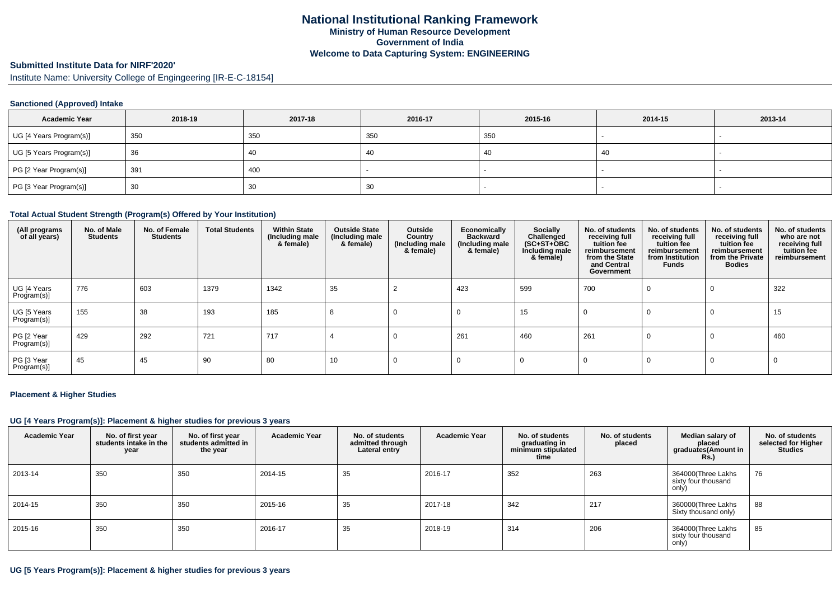# **Submitted Institute Data for NIRF'2020'**

Institute Name: University College of Engingeering [IR-E-C-18154]

## **Sanctioned (Approved) Intake**

| <b>Academic Year</b>    | 2018-19 | 2017-18 | 2016-17 | 2015-16 | 2014-15 | 2013-14 |
|-------------------------|---------|---------|---------|---------|---------|---------|
| UG [4 Years Program(s)] | 350     | 350     | 350     | 350     |         |         |
| UG [5 Years Program(s)] | 36      | 40      | -40     | -40     | 40      |         |
| PG [2 Year Program(s)]  | 391     | 400     |         |         |         |         |
| PG [3 Year Program(s)]  | 30      | 30      | 30      |         |         |         |

### **Total Actual Student Strength (Program(s) Offered by Your Institution)**

| (All programs<br>of all years) | No. of Male<br><b>Students</b> | No. of Female<br><b>Students</b> | <b>Total Students</b> | <b>Within State</b><br>(Including male<br>& female) | <b>Outside State</b><br>(Including male<br>& female) | Outside<br>Country<br>(Including male)<br>& female) | Economically<br><b>Backward</b><br>(Including male<br>& female) | Socially<br>Challenged<br>$(SC+ST+OBC)$<br>Including male<br>& female) | No. of students<br>receiving full<br>tuition fee<br>reimbursement<br>from the State<br>and Central<br>Government | No. of students<br>receiving full<br>tuition fee<br>reimbursement<br>from Institution<br>Funds | No. of students<br>receiving full<br>tuition fee<br>reimbursement<br>from the Private<br><b>Bodies</b> | No. of students<br>who are not<br>receiving full<br>tuition fee<br>reimbursement |
|--------------------------------|--------------------------------|----------------------------------|-----------------------|-----------------------------------------------------|------------------------------------------------------|-----------------------------------------------------|-----------------------------------------------------------------|------------------------------------------------------------------------|------------------------------------------------------------------------------------------------------------------|------------------------------------------------------------------------------------------------|--------------------------------------------------------------------------------------------------------|----------------------------------------------------------------------------------|
| UG [4 Years<br>Program(s)]     | 776                            | 603                              | 1379                  | 1342                                                | 35                                                   |                                                     | 423                                                             | 599                                                                    | 700                                                                                                              | 0                                                                                              | 0                                                                                                      | 322                                                                              |
| UG [5 Years<br>Program(s)]     | 155                            | 38                               | 193                   | 185                                                 | 8                                                    | 0                                                   | -0                                                              | 15                                                                     |                                                                                                                  | 0                                                                                              | $\Omega$                                                                                               | 15                                                                               |
| PG [2 Year<br>Program(s)]      | 429                            | 292                              | 721                   | 717                                                 |                                                      | 0                                                   | 261                                                             | 460                                                                    | 261                                                                                                              | $\Omega$                                                                                       | $\Omega$                                                                                               | 460                                                                              |
| PG [3 Year<br>Program(s)]      | 45                             | 45                               | 90                    | 80                                                  | 10                                                   |                                                     |                                                                 | 0                                                                      |                                                                                                                  | 0                                                                                              | $\Omega$                                                                                               |                                                                                  |

### **Placement & Higher Studies**

### **UG [4 Years Program(s)]: Placement & higher studies for previous 3 years**

| <b>Academic Year</b> | No. of first year<br>students intake in the<br>year | No. of first year<br>students admitted in<br>the year | <b>Academic Year</b> | No. of students<br>admitted through<br>Lateral entry | <b>Academic Year</b> | No. of students<br>graduating in<br>minimum stipulated<br>time | No. of students<br>placed | Median salary of<br>placed<br>graduates(Amount in<br>Rs.) | No. of students<br>selected for Higher<br><b>Studies</b> |
|----------------------|-----------------------------------------------------|-------------------------------------------------------|----------------------|------------------------------------------------------|----------------------|----------------------------------------------------------------|---------------------------|-----------------------------------------------------------|----------------------------------------------------------|
| 2013-14              | 350                                                 | 350                                                   | 2014-15              | 35                                                   | 2016-17              | 352                                                            | 263                       | 364000(Three Lakhs<br>sixty four thousand<br>only)        | 76                                                       |
| 2014-15              | 350                                                 | 350                                                   | 2015-16              | 35                                                   | 2017-18              | 342                                                            | 217                       | 360000(Three Lakhs<br>Sixty thousand only)                | 88                                                       |
| 2015-16              | 350                                                 | 350                                                   | 2016-17              | 35                                                   | 2018-19              | 314                                                            | 206                       | 364000(Three Lakhs<br>sixty four thousand<br>only)        | 85                                                       |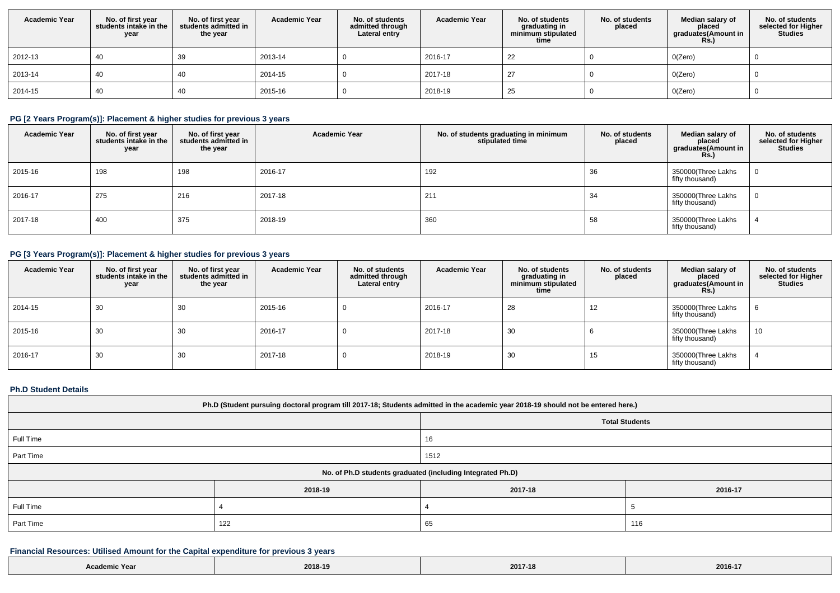| <b>Academic Year</b> | No. of first year<br>students intake in the<br>year | No. of first year<br>students admitted in<br>the year | <b>Academic Year</b> | No. of students<br>admitted through<br>Lateral entry | <b>Academic Year</b> | No. of students<br>graduating in<br>minimum stipulated<br>time | No. of students<br>placed | Median salary of<br>placed<br>graduates(Amount in<br>Rs.) | No. of students<br>selected for Higher<br><b>Studies</b> |
|----------------------|-----------------------------------------------------|-------------------------------------------------------|----------------------|------------------------------------------------------|----------------------|----------------------------------------------------------------|---------------------------|-----------------------------------------------------------|----------------------------------------------------------|
| 2012-13              | 40                                                  | 39                                                    | 2013-14              |                                                      | 2016-17              | 22                                                             |                           | O(Zero)                                                   |                                                          |
| 2013-14              | 40                                                  | 40                                                    | 2014-15              |                                                      | 2017-18              | -27                                                            |                           | O(Zero)                                                   |                                                          |
| 2014-15              | 40                                                  | 40                                                    | 2015-16              |                                                      | 2018-19              | 25                                                             |                           | O(Zero)                                                   |                                                          |

# **PG [2 Years Program(s)]: Placement & higher studies for previous 3 years**

| <b>Academic Year</b> | No. of first year<br>students intake in the<br>year | No. of first year<br>students admitted in<br>the year | <b>Academic Year</b> | No. of students graduating in minimum<br>stipulated time | No. of students<br>placed | Median salary of<br>placed<br>graduates(Amount in<br><b>Rs.)</b> | No. of students<br>selected for Higher<br><b>Studies</b> |
|----------------------|-----------------------------------------------------|-------------------------------------------------------|----------------------|----------------------------------------------------------|---------------------------|------------------------------------------------------------------|----------------------------------------------------------|
| 2015-16              | 198                                                 | 198                                                   | 2016-17              | 192                                                      | 36                        | 350000(Three Lakhs<br>fifty thousand)                            |                                                          |
| 2016-17              | 275                                                 | 216                                                   | 2017-18              | 211                                                      | 34                        | 350000(Three Lakhs<br>fifty thousand)                            |                                                          |
| 2017-18              | 400                                                 | 375                                                   | 2018-19              | 360                                                      | 58                        | 350000(Three Lakhs<br>fifty thousand)                            |                                                          |

# **PG [3 Years Program(s)]: Placement & higher studies for previous 3 years**

| <b>Academic Year</b> | No. of first year<br>students intake in the<br>year | No. of first year<br>students admitted in<br>the year | <b>Academic Year</b> | No. of students<br>admitted through<br>Lateral entry | <b>Academic Year</b> | No. of students<br>graduating in<br>minimum stipulated<br>time | No. of students<br>placed | Median salary of<br>placed<br>graduates(Amount in<br><b>Rs.)</b> | No. of students<br>selected for Higher<br><b>Studies</b> |
|----------------------|-----------------------------------------------------|-------------------------------------------------------|----------------------|------------------------------------------------------|----------------------|----------------------------------------------------------------|---------------------------|------------------------------------------------------------------|----------------------------------------------------------|
| 2014-15              | 30                                                  | 30                                                    | 2015-16              |                                                      | 2016-17              | 28                                                             | 12                        | 350000(Three Lakhs<br>fifty thousand)                            |                                                          |
| 2015-16              | 30                                                  | 30                                                    | 2016-17              |                                                      | 2017-18              | 30                                                             |                           | 350000(Three Lakhs<br>fifty thousand)                            | 10                                                       |
| 2016-17              | 30                                                  | 30                                                    | 2017-18              |                                                      | 2018-19              | 30                                                             | 15                        | 350000(Three Lakhs<br>fifty thousand)                            |                                                          |

## **Ph.D Student Details**

L

| Ph.D (Student pursuing doctoral program till 2017-18; Students admitted in the academic year 2018-19 should not be entered here.) |         |                       |         |  |  |  |
|-----------------------------------------------------------------------------------------------------------------------------------|---------|-----------------------|---------|--|--|--|
|                                                                                                                                   |         | <b>Total Students</b> |         |  |  |  |
| Full Time                                                                                                                         |         | 16                    |         |  |  |  |
| Part Time                                                                                                                         |         | 1512                  |         |  |  |  |
| No. of Ph.D students graduated (including Integrated Ph.D)                                                                        |         |                       |         |  |  |  |
|                                                                                                                                   | 2018-19 | 2017-18               | 2016-17 |  |  |  |
| Full Time                                                                                                                         |         |                       |         |  |  |  |
| Part Time<br>122<br>65<br>116                                                                                                     |         |                       |         |  |  |  |

# **Financial Resources: Utilised Amount for the Capital expenditure for previous 3 years**

| ic Year | 2018-1                      | 2017-18                             | 2016-17 |
|---------|-----------------------------|-------------------------------------|---------|
|         | $\sim$ $\sim$ $\sim$ $\sim$ | the contract of the contract of the | $    -$ |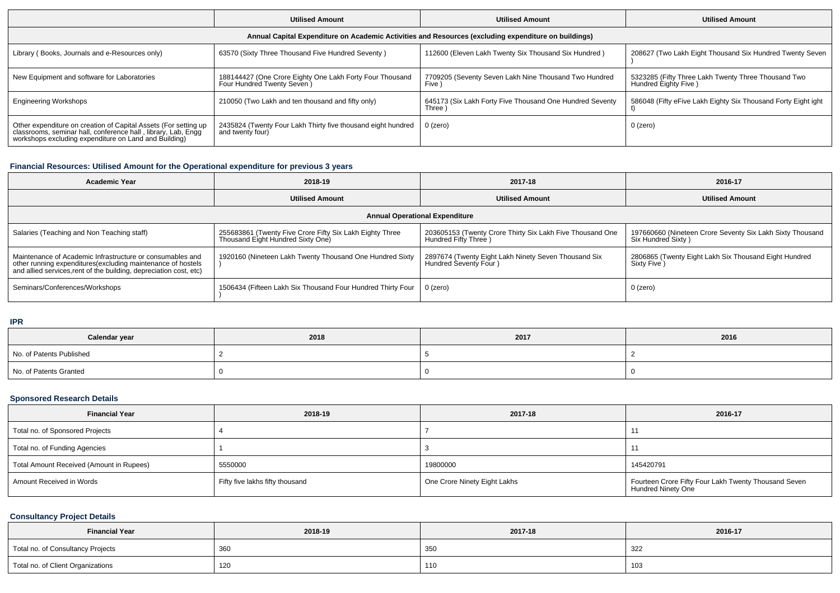|                                                                                                                                                                                           | <b>Utilised Amount</b>                                                                  | <b>Utilised Amount</b>                                              | <b>Utilised Amount</b>                                                       |  |  |  |  |  |
|-------------------------------------------------------------------------------------------------------------------------------------------------------------------------------------------|-----------------------------------------------------------------------------------------|---------------------------------------------------------------------|------------------------------------------------------------------------------|--|--|--|--|--|
| Annual Capital Expenditure on Academic Activities and Resources (excluding expenditure on buildings)                                                                                      |                                                                                         |                                                                     |                                                                              |  |  |  |  |  |
| Library (Books, Journals and e-Resources only)                                                                                                                                            | 63570 (Sixty Three Thousand Five Hundred Seventy)                                       | 112600 (Eleven Lakh Twenty Six Thousand Six Hundred)                | 208627 (Two Lakh Eight Thousand Six Hundred Twenty Seven                     |  |  |  |  |  |
| New Equipment and software for Laboratories                                                                                                                                               | 188144427 (One Crore Eighty One Lakh Forty Four Thousand<br>Four Hundred Twenty Seven ) | 7709205 (Seventy Seven Lakh Nine Thousand Two Hundred<br>Five 1     | 5323285 (Fifty Three Lakh Twenty Three Thousand Two<br>Hundred Eighty Five ) |  |  |  |  |  |
| <b>Engineering Workshops</b>                                                                                                                                                              | 210050 (Two Lakh and ten thousand and fifty only)                                       | 645173 (Six Lakh Forty Five Thousand One Hundred Seventy<br>Three \ | 586048 (Fifty eFive Lakh Eighty Six Thousand Forty Eight ight                |  |  |  |  |  |
| Other expenditure on creation of Capital Assets (For setting up<br>classrooms, seminar hall, conference hall, library, Lab, Engg<br>workshops excluding expenditure on Land and Building) | 2435824 (Twenty Four Lakh Thirty five thousand eight hundred<br>and twenty four)        | $0$ (zero)                                                          | 0 (zero)                                                                     |  |  |  |  |  |

# **Financial Resources: Utilised Amount for the Operational expenditure for previous 3 years**

| 2018-19<br><b>Academic Year</b>                                                                                                                                                                 |                                                                                               | 2017-18                                                                            | 2016-17                                                                         |  |  |  |  |  |
|-------------------------------------------------------------------------------------------------------------------------------------------------------------------------------------------------|-----------------------------------------------------------------------------------------------|------------------------------------------------------------------------------------|---------------------------------------------------------------------------------|--|--|--|--|--|
|                                                                                                                                                                                                 | <b>Utilised Amount</b>                                                                        | <b>Utilised Amount</b>                                                             | <b>Utilised Amount</b>                                                          |  |  |  |  |  |
| <b>Annual Operational Expenditure</b>                                                                                                                                                           |                                                                                               |                                                                                    |                                                                                 |  |  |  |  |  |
| Salaries (Teaching and Non Teaching staff)                                                                                                                                                      | 255683861 (Twenty Five Crore Fifty Six Lakh Eighty Three<br>Thousand Eight Hundred Sixty One) | 203605153 (Twenty Crore Thirty Six Lakh Five Thousand One<br>Hundred Fifty Three ) | 197660660 (Nineteen Crore Seventy Six Lakh Sixty Thousand<br>Six Hundred Sixty) |  |  |  |  |  |
| Maintenance of Academic Infrastructure or consumables and<br>other running expenditures (excluding maintenance of hostels<br>and allied services, rent of the building, depreciation cost, etc) | 1920160 (Nineteen Lakh Twenty Thousand One Hundred Sixty                                      | 2897674 (Twenty Eight Lakh Ninety Seven Thousand Six<br>Hundred Seventy Four )     | 2806865 (Twenty Eight Lakh Six Thousand Eight Hundred<br>Sixty Five)            |  |  |  |  |  |
| Seminars/Conferences/Workshops                                                                                                                                                                  | 1506434 (Fifteen Lakh Six Thousand Four Hundred Thirty Four                                   | 0 (zero)                                                                           | 0 (zero)                                                                        |  |  |  |  |  |

**IPR**

| Calendar year            | 2018 | 2017 | 2016 |
|--------------------------|------|------|------|
| No. of Patents Published |      |      |      |
| No. of Patents Granted   |      |      |      |

# **Sponsored Research Details**

| <b>Financial Year</b>                    | 2018-19                         | 2017-18                      | 2016-17                                                                           |
|------------------------------------------|---------------------------------|------------------------------|-----------------------------------------------------------------------------------|
| Total no. of Sponsored Projects          |                                 |                              |                                                                                   |
| Total no. of Funding Agencies            |                                 |                              |                                                                                   |
| Total Amount Received (Amount in Rupees) | 5550000                         | 19800000                     | 145420791                                                                         |
| Amount Received in Words                 | Fifty five lakhs fifty thousand | One Crore Ninety Eight Lakhs | Fourteen Crore Fifty Four Lakh Twenty Thousand Seven<br><b>Hundred Ninety One</b> |

# **Consultancy Project Details**

| <b>Financial Year</b>             | 2018-19 | 2017-18 | 2016-17 |  |  |
|-----------------------------------|---------|---------|---------|--|--|
| Total no. of Consultancy Projects | 360     | 350     | 322     |  |  |
| Total no. of Client Organizations | 120     | 110     | 103     |  |  |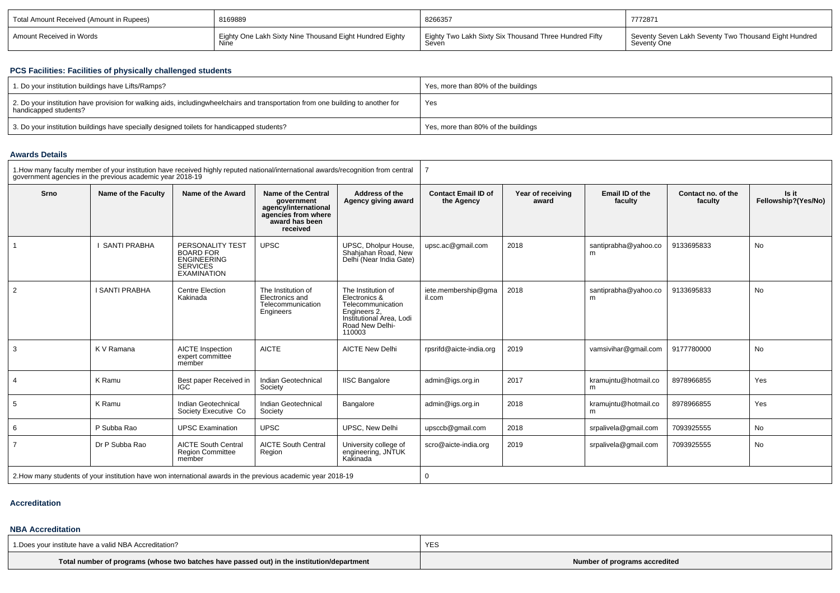| Total Amount Received (Amount in Rupees) | 8169889                                                  | 8266357                                                | 7772871                                               |
|------------------------------------------|----------------------------------------------------------|--------------------------------------------------------|-------------------------------------------------------|
| Amount Received in Words                 | Eighty One Lakh Sixty Nine Thousand Eight Hundred Eighty | Eighty Two Lakh Sixty Six Thousand Three Hundred Fifty | Seventy Seven Lakh Seventy Two Thousand Eight Hundred |
|                                          | Nine                                                     | Seven                                                  | Seventy One                                           |

# **PCS Facilities: Facilities of physically challenged students**

| 1. Do your institution buildings have Lifts/Ramps?                                                                                                        | Yes, more than 80% of the buildings |
|-----------------------------------------------------------------------------------------------------------------------------------------------------------|-------------------------------------|
| 2. Do your institution have provision for walking aids, includingwheelchairs and transportation from one building to another for<br>handicapped students? | Yes                                 |
| 3. Do your institution buildings have specially designed toilets for handicapped students?                                                                | Yes, more than 80% of the buildings |

# **Awards Details**

|                | government agencies in the previous academic year 2018-19 | 1. How many faculty member of your institution have received highly reputed national/international awards/recognition from central |                                                                                                                       |                                                                                                                                   |                                          |                            |                            |                               |                              |  |
|----------------|-----------------------------------------------------------|------------------------------------------------------------------------------------------------------------------------------------|-----------------------------------------------------------------------------------------------------------------------|-----------------------------------------------------------------------------------------------------------------------------------|------------------------------------------|----------------------------|----------------------------|-------------------------------|------------------------------|--|
| Srno           | Name of the Faculty                                       | Name of the Award                                                                                                                  | <b>Name of the Central</b><br>government<br>agency/international<br>agencies from where<br>award has been<br>received | Address of the<br>Agency giving award                                                                                             | <b>Contact Email ID of</b><br>the Agency | Year of receiving<br>award | Email ID of the<br>faculty | Contact no. of the<br>faculty | Is it<br>Fellowship?(Yes/No) |  |
|                | <b>SANTI PRABHA</b>                                       | PERSONALITY TEST<br><b>BOARD FOR</b><br><b>ENGINEERING</b><br><b>SERVICES</b><br><b>EXAMINATION</b>                                | <b>UPSC</b>                                                                                                           | UPSC, Dholpur House,<br>Shahjahan Road, New<br>Delhi (Near India Gate)                                                            | upsc.ac@gmail.com                        | 2018                       | santiprabha@yahoo.co<br>m  | 9133695833                    | No                           |  |
| 2              | <b>I SANTI PRABHA</b>                                     | <b>Centre Election</b><br>Kakinada                                                                                                 | The Institution of<br>Electronics and<br>Telecommunication<br>Engineers                                               | The Institution of<br>Electronics &<br>Telecommunication<br>Engineers 2.<br>Institutional Area. Lodi<br>Road New Delhi-<br>110003 | iete.membership@gma<br>il.com            | 2018                       | santiprabha@yahoo.co<br>m  | 9133695833                    | No                           |  |
| 3              | K V Ramana                                                | <b>AICTE</b> Inspection<br>expert committee<br>member                                                                              | <b>AICTE</b>                                                                                                          | <b>AICTE New Delhi</b>                                                                                                            | rpsrifd@aicte-india.org                  | 2019                       | vamsivihar@gmail.com       | 9177780000                    | No                           |  |
| $\overline{4}$ | K Ramu                                                    | Best paper Received in<br><b>IGC</b>                                                                                               | Indian Geotechnical<br>Society                                                                                        | <b>IISC Bangalore</b>                                                                                                             | admin@igs.org.in                         | 2017                       | kramujntu@hotmail.co<br>m  | 8978966855                    | Yes                          |  |
| 5              | K Ramu                                                    | Indian Geotechnical<br>Society Executive Co                                                                                        | Indian Geotechnical<br>Society                                                                                        | Bangalore                                                                                                                         | admin@igs.org.in                         | 2018                       | kramujntu@hotmail.co<br>m  | 8978966855                    | Yes                          |  |
| 6              | P Subba Rao                                               | <b>UPSC Examination</b>                                                                                                            | <b>UPSC</b>                                                                                                           | UPSC. New Delhi                                                                                                                   | upsccb@gmail.com                         | 2018                       | srpalivela@gmail.com       | 7093925555                    | No                           |  |
| $\overline{7}$ | Dr P Subba Rao                                            | <b>AICTE South Central</b><br><b>Region Committee</b><br>member                                                                    | <b>AICTE South Central</b><br>Region                                                                                  | University college of<br>engineering, JNTUK<br>Kakinada                                                                           | scro@aicte-india.org                     | 2019                       | srpalivela@gmail.com       | 7093925555                    | No                           |  |
|                |                                                           | 2. How many students of your institution have won international awards in the previous academic year 2018-19                       |                                                                                                                       |                                                                                                                                   | 0                                        |                            |                            |                               |                              |  |

#### **Accreditation**

## **NBA Accreditation**

| 1. Does your institute have a valid NBA Accreditation?                                     |                               |
|--------------------------------------------------------------------------------------------|-------------------------------|
| Total number of programs (whose two batches have passed out) in the institution/department | Number of programs accredited |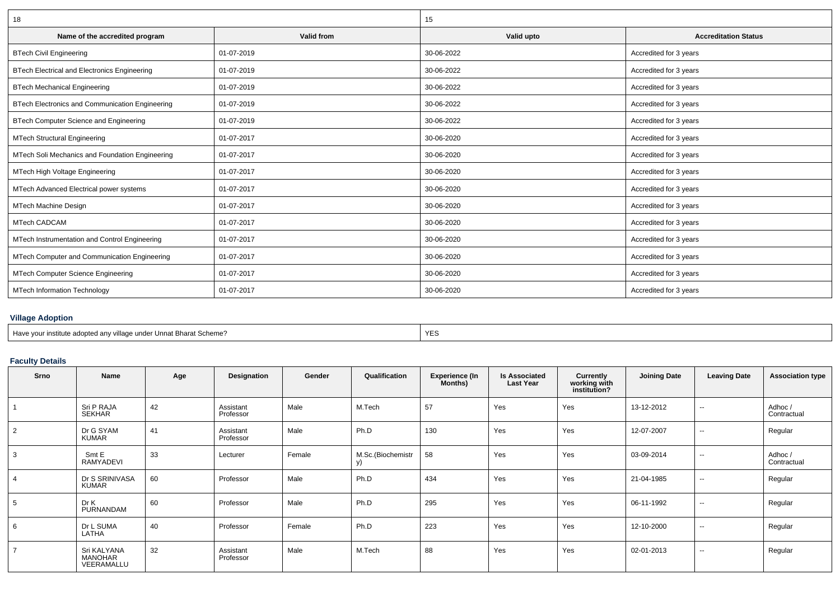| 18                                                  |            | 15         |                             |  |
|-----------------------------------------------------|------------|------------|-----------------------------|--|
| Name of the accredited program                      | Valid from | Valid upto | <b>Accreditation Status</b> |  |
| <b>BTech Civil Engineering</b>                      | 01-07-2019 | 30-06-2022 | Accredited for 3 years      |  |
| <b>BTech Electrical and Electronics Engineering</b> | 01-07-2019 | 30-06-2022 | Accredited for 3 years      |  |
| <b>BTech Mechanical Engineering</b>                 | 01-07-2019 | 30-06-2022 | Accredited for 3 years      |  |
| BTech Electronics and Communication Engineering     | 01-07-2019 | 30-06-2022 | Accredited for 3 years      |  |
| BTech Computer Science and Engineering              | 01-07-2019 | 30-06-2022 | Accredited for 3 years      |  |
| <b>MTech Structural Engineering</b>                 | 01-07-2017 | 30-06-2020 | Accredited for 3 years      |  |
| MTech Soli Mechanics and Foundation Engineering     | 01-07-2017 | 30-06-2020 | Accredited for 3 years      |  |
| MTech High Voltage Engineering                      | 01-07-2017 | 30-06-2020 | Accredited for 3 years      |  |
| MTech Advanced Electrical power systems             | 01-07-2017 | 30-06-2020 | Accredited for 3 years      |  |
| <b>MTech Machine Design</b>                         | 01-07-2017 | 30-06-2020 | Accredited for 3 years      |  |
| <b>MTech CADCAM</b>                                 | 01-07-2017 | 30-06-2020 | Accredited for 3 years      |  |
| MTech Instrumentation and Control Engineering       | 01-07-2017 | 30-06-2020 | Accredited for 3 years      |  |
| MTech Computer and Communication Engineering        | 01-07-2017 | 30-06-2020 | Accredited for 3 years      |  |
| MTech Computer Science Engineering                  | 01-07-2017 | 30-06-2020 | Accredited for 3 years      |  |
| <b>MTech Information Technology</b>                 | 01-07-2017 | 30-06-2020 | Accredited for 3 years      |  |

## **Village Adoption**

| Have<br>าnat Bharat Scheme?<br>under<br>`any villana<br>institute. |  |
|--------------------------------------------------------------------|--|

# **Faculty Details**

| Srno            | Name                                 | Age | Designation            | Gender | Qualification     | <b>Experience (In</b><br>Months) | <b>Is Associated</b><br><b>Last Year</b> | <b>Currently</b><br>working with<br>institution? | <b>Joining Date</b> | <b>Leaving Date</b> | <b>Association type</b> |
|-----------------|--------------------------------------|-----|------------------------|--------|-------------------|----------------------------------|------------------------------------------|--------------------------------------------------|---------------------|---------------------|-------------------------|
|                 | Sri P RAJA<br>SEKHAR                 | 42  | Assistant<br>Professor | Male   | M.Tech            | 57                               | Yes                                      | Yes                                              | 13-12-2012          | $\sim$              | Adhoc /<br>Contractual  |
| 2               | Dr G SYAM<br><b>KUMAR</b>            | 41  | Assistant<br>Professor | Male   | Ph.D              | 130                              | Yes                                      | Yes                                              | 12-07-2007          | $\sim$              | Regular                 |
| 3               | Smt E<br>RAMYADEVI                   | 33  | Lecturer               | Female | M.Sc.(Biochemistr | 58                               | Yes                                      | Yes                                              | 03-09-2014          | $\sim$              | Adhoc /<br>Contractual  |
| $\overline{4}$  | Dr S SRINIVASA<br>KUMAR              | 60  | Professor              | Male   | Ph.D              | 434                              | Yes                                      | Yes                                              | 21-04-1985          | $\sim$              | Regular                 |
| $5\overline{)}$ | Dr K<br>PURNANDAM                    | 60  | Professor              | Male   | Ph.D              | 295                              | Yes                                      | Yes                                              | 06-11-1992          | $\sim$              | Regular                 |
| 6               | Dr L SUMA<br>LATHA                   | 40  | Professor              | Female | Ph.D              | 223                              | Yes                                      | Yes                                              | 12-10-2000          | $\sim$              | Regular                 |
| $\overline{ }$  | Sri KALYANA<br>MANOHAR<br>VEERAMALLU | 32  | Assistant<br>Professor | Male   | M.Tech            | 88                               | Yes                                      | Yes                                              | 02-01-2013          | $\sim$              | Regular                 |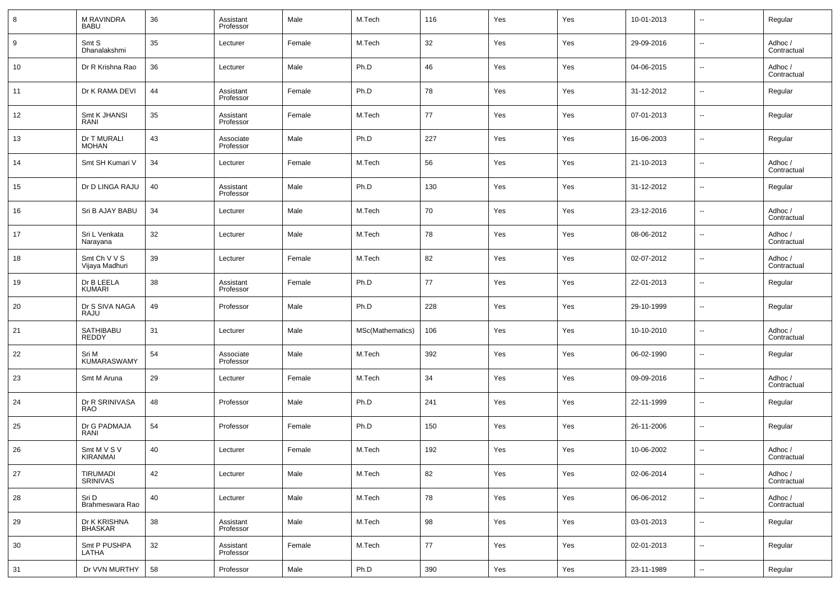| 8  | M RAVINDRA<br><b>BABU</b>      | 36 | Assistant<br>Professor | Male   | M.Tech           | 116 | Yes | Yes | 10-01-2013 | $\overline{\phantom{a}}$ | Regular                |
|----|--------------------------------|----|------------------------|--------|------------------|-----|-----|-----|------------|--------------------------|------------------------|
| 9  | Smt S<br>Dhanalakshmi          | 35 | Lecturer               | Female | M.Tech           | 32  | Yes | Yes | 29-09-2016 | $\overline{\phantom{a}}$ | Adhoc /<br>Contractual |
| 10 | Dr R Krishna Rao               | 36 | Lecturer               | Male   | Ph.D             | 46  | Yes | Yes | 04-06-2015 | $\overline{\phantom{a}}$ | Adhoc /<br>Contractual |
| 11 | Dr K RAMA DEVI                 | 44 | Assistant<br>Professor | Female | Ph.D             | 78  | Yes | Yes | 31-12-2012 | $\overline{\phantom{a}}$ | Regular                |
| 12 | Smt K JHANSI<br>RANI           | 35 | Assistant<br>Professor | Female | M.Tech           | 77  | Yes | Yes | 07-01-2013 | $\overline{\phantom{a}}$ | Regular                |
| 13 | Dr T MURALI<br><b>MOHAN</b>    | 43 | Associate<br>Professor | Male   | Ph.D             | 227 | Yes | Yes | 16-06-2003 | $\overline{\phantom{a}}$ | Regular                |
| 14 | Smt SH Kumari V                | 34 | Lecturer               | Female | M.Tech           | 56  | Yes | Yes | 21-10-2013 | $\overline{\phantom{a}}$ | Adhoc /<br>Contractual |
| 15 | Dr D LINGA RAJU                | 40 | Assistant<br>Professor | Male   | Ph.D             | 130 | Yes | Yes | 31-12-2012 | $\overline{\phantom{a}}$ | Regular                |
| 16 | Sri B AJAY BABU                | 34 | Lecturer               | Male   | M.Tech           | 70  | Yes | Yes | 23-12-2016 | $\overline{\phantom{a}}$ | Adhoc /<br>Contractual |
| 17 | Sri L Venkata<br>Narayana      | 32 | Lecturer               | Male   | M.Tech           | 78  | Yes | Yes | 08-06-2012 | $\overline{\phantom{a}}$ | Adhoc /<br>Contractual |
| 18 | Smt Ch V V S<br>Vijaya Madhuri | 39 | Lecturer               | Female | M.Tech           | 82  | Yes | Yes | 02-07-2012 | $\overline{\phantom{a}}$ | Adhoc /<br>Contractual |
| 19 | Dr B LEELA<br><b>KUMARI</b>    | 38 | Assistant<br>Professor | Female | Ph.D             | 77  | Yes | Yes | 22-01-2013 | $\overline{\phantom{a}}$ | Regular                |
| 20 | Dr S SIVA NAGA<br>RAJU         | 49 | Professor              | Male   | Ph.D             | 228 | Yes | Yes | 29-10-1999 | $\overline{\phantom{a}}$ | Regular                |
| 21 | SATHIBABU<br><b>REDDY</b>      | 31 | Lecturer               | Male   | MSc(Mathematics) | 106 | Yes | Yes | 10-10-2010 | $\overline{\phantom{a}}$ | Adhoc /<br>Contractual |
| 22 | Sri M<br><b>KUMARASWAMY</b>    | 54 | Associate<br>Professor | Male   | M.Tech           | 392 | Yes | Yes | 06-02-1990 | $\overline{\phantom{a}}$ | Regular                |
| 23 | Smt M Aruna                    | 29 | Lecturer               | Female | M.Tech           | 34  | Yes | Yes | 09-09-2016 | $\overline{\phantom{a}}$ | Adhoc /<br>Contractual |
| 24 | Dr R SRINIVASA<br>RAO          | 48 | Professor              | Male   | Ph.D             | 241 | Yes | Yes | 22-11-1999 | $\overline{\phantom{a}}$ | Regular                |
| 25 | Dr G PADMAJA<br>RANI           | 54 | Professor              | Female | Ph.D             | 150 | Yes | Yes | 26-11-2006 | $\overline{\phantom{a}}$ | Regular                |
| 26 | Smt M V S V<br>KIRANMAI        | 40 | Lecturer               | Female | M.Tech           | 192 | Yes | Yes | 10-06-2002 | $\overline{\phantom{a}}$ | Adhoc /<br>Contractual |
| 27 | TIRUMADI<br>SRINIVAS           | 42 | Lecturer               | Male   | M.Tech           | 82  | Yes | Yes | 02-06-2014 | $\overline{\phantom{a}}$ | Adhoc /<br>Contractual |
| 28 | Sri D<br>Brahmeswara Rao       | 40 | Lecturer               | Male   | M.Tech           | 78  | Yes | Yes | 06-06-2012 | $\overline{\phantom{a}}$ | Adhoc /<br>Contractual |
| 29 | Dr K KRISHNA<br><b>BHASKAR</b> | 38 | Assistant<br>Professor | Male   | M.Tech           | 98  | Yes | Yes | 03-01-2013 | $\overline{\phantom{a}}$ | Regular                |
| 30 | Smt P PUSHPA<br>LATHA          | 32 | Assistant<br>Professor | Female | M.Tech           | 77  | Yes | Yes | 02-01-2013 | $\overline{\phantom{a}}$ | Regular                |
| 31 | Dr VVN MURTHY                  | 58 | Professor              | Male   | Ph.D             | 390 | Yes | Yes | 23-11-1989 | $\overline{\phantom{a}}$ | Regular                |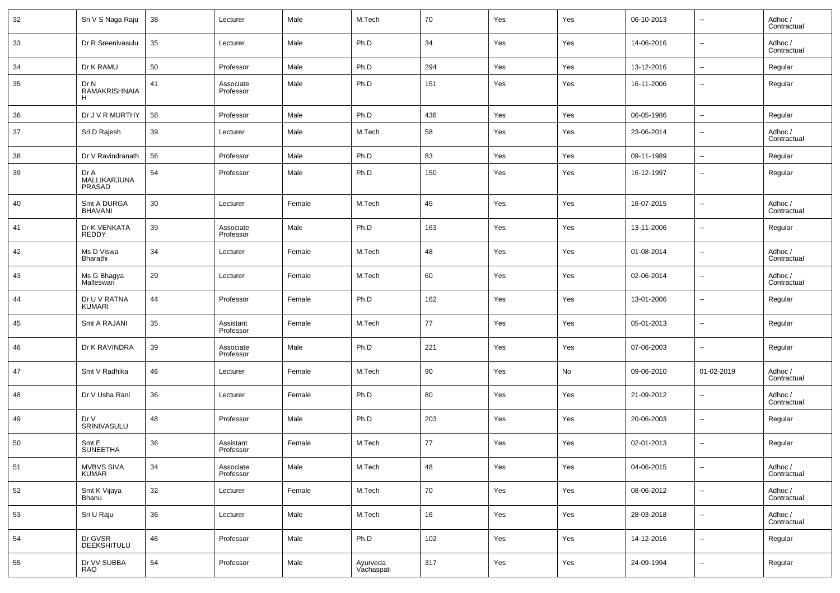| 32 | Sri V S Naga Raju                 | 38 | Lecturer               | Male   | M.Tech                 | 70  | Yes | Yes | 06-10-2013 | $\overline{\phantom{a}}$ | Adhoc /<br>Contractual |
|----|-----------------------------------|----|------------------------|--------|------------------------|-----|-----|-----|------------|--------------------------|------------------------|
| 33 | Dr R Sreenivasulu                 | 35 | Lecturer               | Male   | Ph.D                   | 34  | Yes | Yes | 14-06-2016 | $\overline{\phantom{a}}$ | Adhoc /<br>Contractual |
| 34 | Dr K RAMU                         | 50 | Professor              | Male   | Ph.D                   | 294 | Yes | Yes | 13-12-2016 | $\overline{\phantom{a}}$ | Regular                |
| 35 | Dr N<br>RAMAKRISHNAIA<br>H.       | 41 | Associate<br>Professor | Male   | Ph.D                   | 151 | Yes | Yes | 16-11-2006 | $\sim$                   | Regular                |
| 36 | Dr J V R MURTHY                   | 58 | Professor              | Male   | Ph.D                   | 436 | Yes | Yes | 06-05-1986 | $\overline{\phantom{a}}$ | Regular                |
| 37 | Sri D Rajesh                      | 39 | Lecturer               | Male   | M.Tech                 | 58  | Yes | Yes | 23-06-2014 | $\overline{\phantom{a}}$ | Adhoc /<br>Contractual |
| 38 | Dr V Ravindranath                 | 56 | Professor              | Male   | Ph.D                   | 83  | Yes | Yes | 09-11-1989 | $\sim$                   | Regular                |
| 39 | Dr A<br>MALLIKARJUNA<br>PRASAD    | 54 | Professor              | Male   | Ph.D                   | 150 | Yes | Yes | 16-12-1997 | $\overline{\phantom{a}}$ | Regular                |
| 40 | Smt A DURGA<br><b>BHAVANI</b>     | 30 | Lecturer               | Female | M.Tech                 | 45  | Yes | Yes | 16-07-2015 | $\overline{\phantom{a}}$ | Adhoc /<br>Contractual |
| 41 | Dr K VENKATA<br>REDDY             | 39 | Associate<br>Professor | Male   | Ph.D                   | 163 | Yes | Yes | 13-11-2006 | $\overline{\phantom{a}}$ | Regular                |
| 42 | Ms D Viswa<br>Bharathi            | 34 | Lecturer               | Female | M.Tech                 | 48  | Yes | Yes | 01-08-2014 | $\overline{\phantom{a}}$ | Adhoc /<br>Contractual |
| 43 | Ms G Bhagya<br>Malleswari         | 29 | Lecturer               | Female | M.Tech                 | 60  | Yes | Yes | 02-06-2014 | $\overline{\phantom{a}}$ | Adhoc /<br>Contractual |
| 44 | Dr U V RATNA<br>KUMARI            | 44 | Professor              | Female | Ph.D                   | 162 | Yes | Yes | 13-01-2006 | $\overline{\phantom{a}}$ | Regular                |
| 45 | Smt A RAJANI                      | 35 | Assistant<br>Professor | Female | M.Tech                 | 77  | Yes | Yes | 05-01-2013 | $\overline{\phantom{a}}$ | Regular                |
| 46 | Dr K RAVINDRA                     | 39 | Associate<br>Professor | Male   | Ph.D                   | 221 | Yes | Yes | 07-06-2003 | $\sim$                   | Regular                |
| 47 | Smt V Radhika                     | 46 | Lecturer               | Female | M.Tech                 | 90  | Yes | No  | 09-06-2010 | 01-02-2019               | Adhoc /<br>Contractual |
| 48 | Dr V Usha Rani                    | 36 | Lecturer               | Female | Ph.D                   | 80  | Yes | Yes | 21-09-2012 | $\overline{\phantom{a}}$ | Adhoc /<br>Contractual |
| 49 | Dr V<br>SRINIVASULU               | 48 | Professor              | Male   | Ph.D                   | 203 | Yes | Yes | 20-06-2003 | $\overline{\phantom{a}}$ | Regular                |
| 50 | Smt E<br><b>SUNEETHA</b>          | 36 | Assistant<br>Professor | Female | M.Tech                 | 77  | Yes | Yes | 02-01-2013 | $\overline{\phantom{a}}$ | Regular                |
| 51 | <b>MVBVS SIVA</b><br><b>KUMAR</b> | 34 | Associate<br>Professor | Male   | M.Tech                 | 48  | Yes | Yes | 04-06-2015 | $\overline{\phantom{a}}$ | Adhoc /<br>Contractual |
| 52 | Smt K Vijaya<br>Bhanu             | 32 | Lecturer               | Female | M.Tech                 | 70  | Yes | Yes | 08-06-2012 | $\sim$                   | Adhoc /<br>Contractual |
| 53 | Sri U Raju                        | 36 | Lecturer               | Male   | M.Tech                 | 16  | Yes | Yes | 28-03-2018 | $\overline{\phantom{a}}$ | Adhoc /<br>Contractual |
| 54 | Dr GVSR<br>DEEKSHITULU            | 46 | Professor              | Male   | Ph.D                   | 102 | Yes | Yes | 14-12-2016 | $\overline{\phantom{a}}$ | Regular                |
| 55 | Dr VV SUBBA<br>RAO                | 54 | Professor              | Male   | Ayurveda<br>Vachaspati | 317 | Yes | Yes | 24-09-1994 | $\overline{\phantom{a}}$ | Regular                |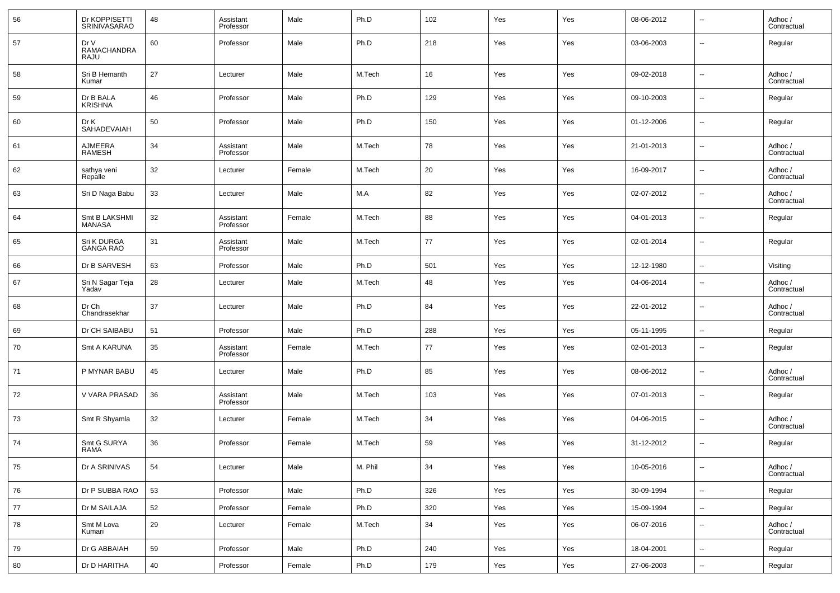| 56 | Dr KOPPISETTI<br>SRINIVASARAO      | 48 | Assistant<br>Professor | Male   | Ph.D    | 102 | Yes | Yes | 08-06-2012 | --                       | Adhoc /<br>Contractual |
|----|------------------------------------|----|------------------------|--------|---------|-----|-----|-----|------------|--------------------------|------------------------|
| 57 | Dr V<br><b>RAMACHANDRA</b><br>RAJU | 60 | Professor              | Male   | Ph.D    | 218 | Yes | Yes | 03-06-2003 | --                       | Regular                |
| 58 | Sri B Hemanth<br>Kumar             | 27 | Lecturer               | Male   | M.Tech  | 16  | Yes | Yes | 09-02-2018 | --                       | Adhoc /<br>Contractual |
| 59 | Dr B BALA<br><b>KRISHNA</b>        | 46 | Professor              | Male   | Ph.D    | 129 | Yes | Yes | 09-10-2003 | н.                       | Regular                |
| 60 | Dr K<br>SAHADEVAIAH                | 50 | Professor              | Male   | Ph.D    | 150 | Yes | Yes | 01-12-2006 | н.                       | Regular                |
| 61 | AJMEERA<br><b>RAMESH</b>           | 34 | Assistant<br>Professor | Male   | M.Tech  | 78  | Yes | Yes | 21-01-2013 | н.                       | Adhoc /<br>Contractual |
| 62 | sathya veni<br>Repalle             | 32 | Lecturer               | Female | M.Tech  | 20  | Yes | Yes | 16-09-2017 | н.                       | Adhoc /<br>Contractual |
| 63 | Sri D Naga Babu                    | 33 | Lecturer               | Male   | M.A     | 82  | Yes | Yes | 02-07-2012 | н.                       | Adhoc /<br>Contractual |
| 64 | Smt B LAKSHMI<br>MANASA            | 32 | Assistant<br>Professor | Female | M.Tech  | 88  | Yes | Yes | 04-01-2013 | н.                       | Regular                |
| 65 | Sri K DURGA<br><b>GANGA RAO</b>    | 31 | Assistant<br>Professor | Male   | M.Tech  | 77  | Yes | Yes | 02-01-2014 | н.                       | Regular                |
| 66 | Dr B SARVESH                       | 63 | Professor              | Male   | Ph.D    | 501 | Yes | Yes | 12-12-1980 | ш,                       | Visiting               |
| 67 | Sri N Sagar Teja<br>Yadav          | 28 | Lecturer               | Male   | M.Tech  | 48  | Yes | Yes | 04-06-2014 | --                       | Adhoc /<br>Contractual |
| 68 | Dr Ch<br>Chandrasekhar             | 37 | Lecturer               | Male   | Ph.D    | 84  | Yes | Yes | 22-01-2012 | ш.                       | Adhoc /<br>Contractual |
| 69 | Dr CH SAIBABU                      | 51 | Professor              | Male   | Ph.D    | 288 | Yes | Yes | 05-11-1995 | ш.                       | Regular                |
| 70 | Smt A KARUNA                       | 35 | Assistant<br>Professor | Female | M.Tech  | 77  | Yes | Yes | 02-01-2013 | $\overline{\phantom{a}}$ | Regular                |
| 71 | P MYNAR BABU                       | 45 | Lecturer               | Male   | Ph.D    | 85  | Yes | Yes | 08-06-2012 | н.                       | Adhoc /<br>Contractual |
| 72 | V VARA PRASAD                      | 36 | Assistant<br>Professor | Male   | M.Tech  | 103 | Yes | Yes | 07-01-2013 | $\sim$                   | Regular                |
| 73 | Smt R Shyamla                      | 32 | Lecturer               | Female | M.Tech  | 34  | Yes | Yes | 04-06-2015 | н.                       | Adhoc /<br>Contractual |
| 74 | Smt G SURYA<br><b>RAMA</b>         | 36 | Professor              | Female | M.Tech  | 59  | Yes | Yes | 31-12-2012 | --                       | Regular                |
| 75 | Dr A SRINIVAS                      | 54 | Lecturer               | Male   | M. Phil | 34  | Yes | Yes | 10-05-2016 | $\sim$                   | Adhoc /<br>Contractual |
| 76 | Dr P SUBBA RAO                     | 53 | Professor              | Male   | Ph.D    | 326 | Yes | Yes | 30-09-1994 | $\overline{\phantom{a}}$ | Regular                |
| 77 | Dr M SAILAJA                       | 52 | Professor              | Female | Ph.D    | 320 | Yes | Yes | 15-09-1994 | ۰.                       | Regular                |
| 78 | Smt M Lova<br>Kumari               | 29 | Lecturer               | Female | M.Tech  | 34  | Yes | Yes | 06-07-2016 | $\sim$                   | Adhoc /<br>Contractual |
| 79 | Dr G ABBAIAH                       | 59 | Professor              | Male   | Ph.D    | 240 | Yes | Yes | 18-04-2001 | $\sim$                   | Regular                |
| 80 | Dr D HARITHA                       | 40 | Professor              | Female | Ph.D    | 179 | Yes | Yes | 27-06-2003 | $\overline{\phantom{a}}$ | Regular                |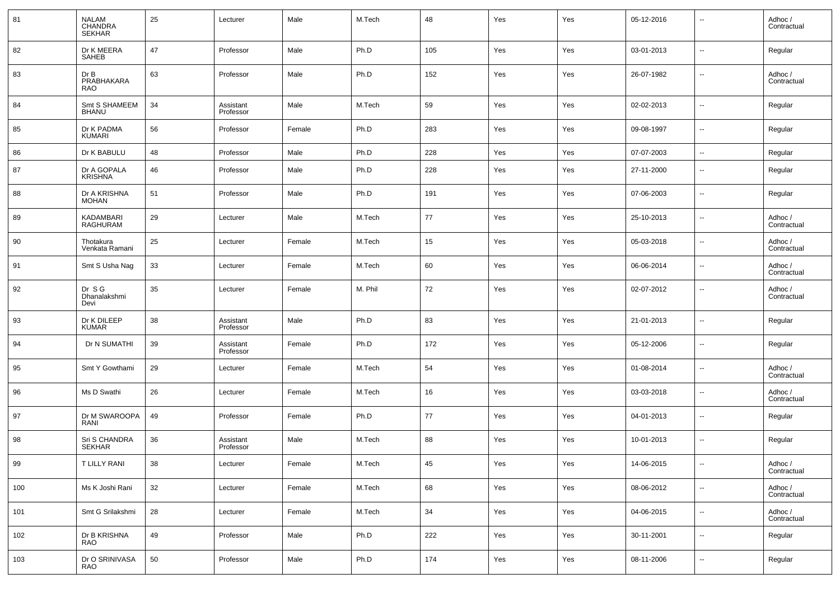| 81  | NALAM<br>CHANDRA<br><b>SEKHAR</b> | 25 | Lecturer               | Male   | M.Tech  | 48       | Yes | Yes | 05-12-2016 | --                       | Adhoc /<br>Contractual |
|-----|-----------------------------------|----|------------------------|--------|---------|----------|-----|-----|------------|--------------------------|------------------------|
| 82  | Dr K MEERA<br>SAHEB               | 47 | Professor              | Male   | Ph.D    | 105      | Yes | Yes | 03-01-2013 | ۰.                       | Regular                |
| 83  | Dr B<br>PRABHAKARA<br><b>RAO</b>  | 63 | Professor              | Male   | Ph.D    | 152      | Yes | Yes | 26-07-1982 | $\overline{\phantom{a}}$ | Adhoc /<br>Contractual |
| 84  | Smt S SHAMEEM<br><b>BHANU</b>     | 34 | Assistant<br>Professor | Male   | M.Tech  | 59       | Yes | Yes | 02-02-2013 | $\overline{\phantom{a}}$ | Regular                |
| 85  | Dr K PADMA<br><b>KUMARI</b>       | 56 | Professor              | Female | Ph.D    | 283      | Yes | Yes | 09-08-1997 | $\overline{\phantom{a}}$ | Regular                |
| 86  | Dr K BABULU                       | 48 | Professor              | Male   | Ph.D    | 228      | Yes | Yes | 07-07-2003 | $\overline{\phantom{a}}$ | Regular                |
| 87  | Dr A GOPALA<br><b>KRISHNA</b>     | 46 | Professor              | Male   | Ph.D    | 228      | Yes | Yes | 27-11-2000 | $\overline{\phantom{a}}$ | Regular                |
| 88  | Dr A KRISHNA<br><b>MOHAN</b>      | 51 | Professor              | Male   | Ph.D    | 191      | Yes | Yes | 07-06-2003 | $\overline{\phantom{a}}$ | Regular                |
| 89  | KADAMBARI<br>RAGHURAM             | 29 | Lecturer               | Male   | M.Tech  | 77       | Yes | Yes | 25-10-2013 | $\overline{\phantom{a}}$ | Adhoc /<br>Contractual |
| 90  | Thotakura<br>Venkata Ramani       | 25 | Lecturer               | Female | M.Tech  | 15       | Yes | Yes | 05-03-2018 | $\overline{\phantom{a}}$ | Adhoc /<br>Contractual |
| 91  | Smt S Usha Nag                    | 33 | Lecturer               | Female | M.Tech  | 60       | Yes | Yes | 06-06-2014 | $\overline{\phantom{a}}$ | Adhoc /<br>Contractual |
| 92  | Dr SG<br>Dhanalakshmi<br>Devi     | 35 | Lecturer               | Female | M. Phil | 72       | Yes | Yes | 02-07-2012 | ۰.                       | Adhoc /<br>Contractual |
| 93  | Dr K DILEEP<br><b>KUMAR</b>       | 38 | Assistant<br>Professor | Male   | Ph.D    | 83       | Yes | Yes | 21-01-2013 | $\overline{\phantom{a}}$ | Regular                |
| 94  | Dr N SUMATHI                      | 39 | Assistant<br>Professor | Female | Ph.D    | 172      | Yes | Yes | 05-12-2006 | $\overline{\phantom{a}}$ | Regular                |
| 95  | Smt Y Gowthami                    | 29 | Lecturer               | Female | M.Tech  | 54       | Yes | Yes | 01-08-2014 | $\overline{\phantom{a}}$ | Adhoc /<br>Contractual |
| 96  | Ms D Swathi                       | 26 | Lecturer               | Female | M.Tech  | 16       | Yes | Yes | 03-03-2018 | $\overline{\phantom{a}}$ | Adhoc /<br>Contractual |
| 97  | Dr M SWAROOPA<br>RANI             | 49 | Professor              | Female | Ph.D    | 77       | Yes | Yes | 04-01-2013 | $\overline{\phantom{a}}$ | Regular                |
| 98  | Sri S CHANDRA<br><b>SEKHAR</b>    | 36 | Assistant<br>Professor | Male   | M.Tech  | 88       | Yes | Yes | 10-01-2013 | $\overline{\phantom{a}}$ | Regular                |
| 99  | T LILLY RANI                      | 38 | Lecturer               | Female | M.Tech  | $\bf 45$ | Yes | Yes | 14-06-2015 | $\overline{\phantom{a}}$ | Adhoc /<br>Contractual |
| 100 | Ms K Joshi Rani                   | 32 | Lecturer               | Female | M.Tech  | 68       | Yes | Yes | 08-06-2012 | $\overline{\phantom{a}}$ | Adhoc /<br>Contractual |
| 101 | Smt G Srilakshmi                  | 28 | Lecturer               | Female | M.Tech  | $34\,$   | Yes | Yes | 04-06-2015 | $\overline{\phantom{a}}$ | Adhoc /<br>Contractual |
| 102 | Dr B KRISHNA<br>RAO               | 49 | Professor              | Male   | Ph.D    | 222      | Yes | Yes | 30-11-2001 | $\overline{\phantom{a}}$ | Regular                |
| 103 | Dr O SRINIVASA<br>RAO             | 50 | Professor              | Male   | Ph.D    | 174      | Yes | Yes | 08-11-2006 | $\overline{\phantom{a}}$ | Regular                |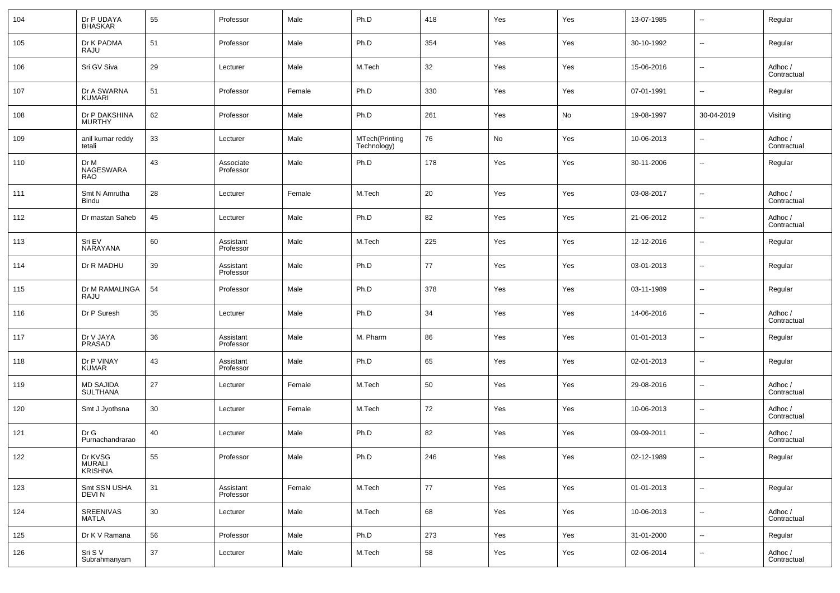| 104 | Dr P UDAYA<br><b>BHASKAR</b> | 55 | Professor              | Male   | Ph.D                          | 418 | Yes | Yes | 13-07-1985 | $\overline{\phantom{a}}$ | Regular                |
|-----|------------------------------|----|------------------------|--------|-------------------------------|-----|-----|-----|------------|--------------------------|------------------------|
| 105 | Dr K PADMA<br>RAJU           | 51 | Professor              | Male   | Ph.D                          | 354 | Yes | Yes | 30-10-1992 | $\overline{\phantom{a}}$ | Regular                |
| 106 | Sri GV Siva                  | 29 | Lecturer               | Male   | M.Tech                        | 32  | Yes | Yes | 15-06-2016 | $\overline{\phantom{a}}$ | Adhoc /<br>Contractual |
| 107 | Dr A SWARNA<br>KUMARI        | 51 | Professor              | Female | Ph.D                          | 330 | Yes | Yes | 07-01-1991 | $\overline{\phantom{a}}$ | Regular                |
| 108 | Dr P DAKSHINA<br>MURTHY      | 62 | Professor              | Male   | Ph.D                          | 261 | Yes | No  | 19-08-1997 | 30-04-2019               | Visiting               |
| 109 | anil kumar reddy<br>tetali   | 33 | Lecturer               | Male   | MTech(Printing<br>Technology) | 76  | No  | Yes | 10-06-2013 | $\overline{\phantom{a}}$ | Adhoc /<br>Contractual |
| 110 | Dr M<br>NAGESWARA<br>RAO     | 43 | Associate<br>Professor | Male   | Ph.D                          | 178 | Yes | Yes | 30-11-2006 | $\overline{\phantom{a}}$ | Regular                |
| 111 | Smt N Amrutha<br>Bindu       | 28 | Lecturer               | Female | M.Tech                        | 20  | Yes | Yes | 03-08-2017 | --                       | Adhoc /<br>Contractual |
| 112 | Dr mastan Saheb              | 45 | Lecturer               | Male   | Ph.D                          | 82  | Yes | Yes | 21-06-2012 | --                       | Adhoc /<br>Contractual |
| 113 | Sri EV<br>NARAYANA           | 60 | Assistant<br>Professor | Male   | M.Tech                        | 225 | Yes | Yes | 12-12-2016 | $\overline{\phantom{a}}$ | Regular                |
| 114 | Dr R MADHU                   | 39 | Assistant<br>Professor | Male   | Ph.D                          | 77  | Yes | Yes | 03-01-2013 | $\overline{\phantom{a}}$ | Regular                |
| 115 | Dr M RAMALINGA<br>RAJU       | 54 | Professor              | Male   | Ph.D                          | 378 | Yes | Yes | 03-11-1989 | $\overline{\phantom{a}}$ | Regular                |
| 116 | Dr P Suresh                  | 35 | Lecturer               | Male   | Ph.D                          | 34  | Yes | Yes | 14-06-2016 | --                       | Adhoc /<br>Contractual |
| 117 | Dr V JAYA<br>PRASAD          | 36 | Assistant<br>Professor | Male   | M. Pharm                      | 86  | Yes | Yes | 01-01-2013 | --                       | Regular                |
| 118 | Dr P VINAY<br><b>KUMAR</b>   | 43 | Assistant<br>Professor | Male   | Ph.D                          | 65  | Yes | Yes | 02-01-2013 | $\overline{\phantom{a}}$ | Regular                |
| 119 | MD SAJIDA<br>SULTHANA        | 27 | Lecturer               | Female | M.Tech                        | 50  | Yes | Yes | 29-08-2016 | --                       | Adhoc /<br>Contractual |
| 120 | Smt J Jyothsna               | 30 | Lecturer               | Female | M.Tech                        | 72  | Yes | Yes | 10-06-2013 | $\overline{\phantom{a}}$ | Adhoc /<br>Contractual |
| 121 | Dr G<br>Purnachandrarao      | 40 | Lecturer               | Male   | Ph.D                          | 82  | Yes | Yes | 09-09-2011 | $\overline{\phantom{a}}$ | Adhoc /<br>Contractual |
| 122 | Dr KVSG<br>MURALI<br>KRISHNA | 55 | Professor              | Male   | Ph.D                          | 246 | Yes | Yes | 02-12-1989 | --                       | Regular                |
| 123 | Smt SSN USHA<br>DEVI N       | 31 | Assistant<br>Professor | Female | M.Tech                        | 77  | Yes | Yes | 01-01-2013 | $\overline{\phantom{a}}$ | Regular                |
| 124 | SREENIVAS<br><b>MATLA</b>    | 30 | Lecturer               | Male   | M.Tech                        | 68  | Yes | Yes | 10-06-2013 | $\overline{\phantom{a}}$ | Adhoc /<br>Contractual |
| 125 | Dr K V Ramana                | 56 | Professor              | Male   | Ph.D                          | 273 | Yes | Yes | 31-01-2000 | $\overline{\phantom{a}}$ | Regular                |
| 126 | Sri S V<br>Subrahmanyam      | 37 | Lecturer               | Male   | M.Tech                        | 58  | Yes | Yes | 02-06-2014 | $\overline{\phantom{a}}$ | Adhoc /<br>Contractual |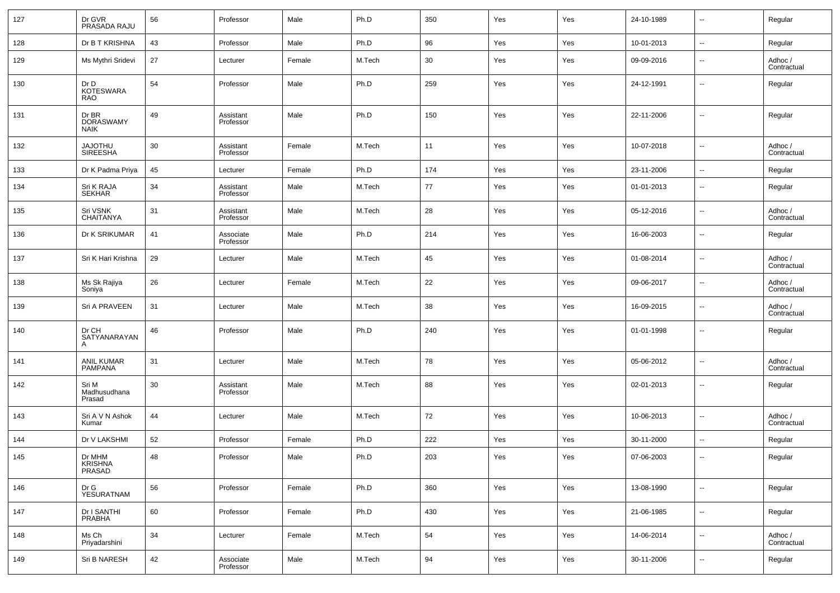| 127 | Dr GVR<br>PRASADA RAJU                   | 56 | Professor              | Male   | Ph.D   | 350 | Yes | Yes | 24-10-1989 | $\overline{\phantom{a}}$ | Regular                |
|-----|------------------------------------------|----|------------------------|--------|--------|-----|-----|-----|------------|--------------------------|------------------------|
| 128 | Dr B T KRISHNA                           | 43 | Professor              | Male   | Ph.D   | 96  | Yes | Yes | 10-01-2013 | $\overline{\phantom{a}}$ | Regular                |
| 129 | Ms Mythri Sridevi                        | 27 | Lecturer               | Female | M.Tech | 30  | Yes | Yes | 09-09-2016 | $\overline{\phantom{a}}$ | Adhoc /<br>Contractual |
| 130 | Dr D<br><b>KOTESWARA</b><br><b>RAO</b>   | 54 | Professor              | Male   | Ph.D   | 259 | Yes | Yes | 24-12-1991 | --                       | Regular                |
| 131 | Dr BR<br><b>DORASWAMY</b><br><b>NAIK</b> | 49 | Assistant<br>Professor | Male   | Ph.D   | 150 | Yes | Yes | 22-11-2006 | $\overline{\phantom{a}}$ | Regular                |
| 132 | <b>UHTOLAL</b><br>SIREESHA               | 30 | Assistant<br>Professor | Female | M.Tech | 11  | Yes | Yes | 10-07-2018 | ÷.                       | Adhoc /<br>Contractual |
| 133 | Dr K Padma Priya                         | 45 | Lecturer               | Female | Ph.D   | 174 | Yes | Yes | 23-11-2006 | $\overline{\phantom{a}}$ | Regular                |
| 134 | Sri K RAJA<br>SEKHAR                     | 34 | Assistant<br>Professor | Male   | M.Tech | 77  | Yes | Yes | 01-01-2013 | --                       | Regular                |
| 135 | Sri VSNK<br><b>CHAITANYA</b>             | 31 | Assistant<br>Professor | Male   | M.Tech | 28  | Yes | Yes | 05-12-2016 | $\overline{\phantom{a}}$ | Adhoc /<br>Contractual |
| 136 | Dr K SRIKUMAR                            | 41 | Associate<br>Professor | Male   | Ph.D   | 214 | Yes | Yes | 16-06-2003 | --                       | Regular                |
| 137 | Sri K Hari Krishna                       | 29 | Lecturer               | Male   | M.Tech | 45  | Yes | Yes | 01-08-2014 | --                       | Adhoc /<br>Contractual |
| 138 | Ms Sk Rajiya<br>Soniya                   | 26 | Lecturer               | Female | M.Tech | 22  | Yes | Yes | 09-06-2017 | $\overline{\phantom{a}}$ | Adhoc /<br>Contractual |
| 139 | Sri A PRAVEEN                            | 31 | Lecturer               | Male   | M.Tech | 38  | Yes | Yes | 16-09-2015 | --                       | Adhoc /<br>Contractual |
| 140 | Dr CH<br>SATYANARAYAN<br>A               | 46 | Professor              | Male   | Ph.D   | 240 | Yes | Yes | 01-01-1998 | $\overline{\phantom{a}}$ | Regular                |
| 141 | ANIL KUMAR<br>PAMPANA                    | 31 | Lecturer               | Male   | M.Tech | 78  | Yes | Yes | 05-06-2012 | --                       | Adhoc /<br>Contractual |
| 142 | Sri M<br>Madhusudhana<br>Prasad          | 30 | Assistant<br>Professor | Male   | M.Tech | 88  | Yes | Yes | 02-01-2013 | Ξ.                       | Regular                |
| 143 | Sri A V N Ashok<br>Kumar                 | 44 | Lecturer               | Male   | M.Tech | 72  | Yes | Yes | 10-06-2013 | $\overline{\phantom{a}}$ | Adhoc /<br>Contractual |
| 144 | Dr V LAKSHMI                             | 52 | Professor              | Female | Ph.D   | 222 | Yes | Yes | 30-11-2000 | Ξ.                       | Regular                |
| 145 | Dr MHM<br>KRISHNA<br>PRASAD              | 48 | Professor              | Male   | Ph.D   | 203 | Yes | Yes | 07-06-2003 |                          | Regular                |
| 146 | Dr G<br>YESURATNAM                       | 56 | Professor              | Female | Ph.D   | 360 | Yes | Yes | 13-08-1990 | щ.                       | Regular                |
| 147 | Dr I SANTHI<br>PRABHA                    | 60 | Professor              | Female | Ph.D   | 430 | Yes | Yes | 21-06-1985 | $\overline{\phantom{a}}$ | Regular                |
| 148 | Ms Ch<br>Priyadarshini                   | 34 | Lecturer               | Female | M.Tech | 54  | Yes | Yes | 14-06-2014 | н.                       | Adhoc /<br>Contractual |
| 149 | Sri B NARESH                             | 42 | Associate<br>Professor | Male   | M.Tech | 94  | Yes | Yes | 30-11-2006 | $\overline{\phantom{a}}$ | Regular                |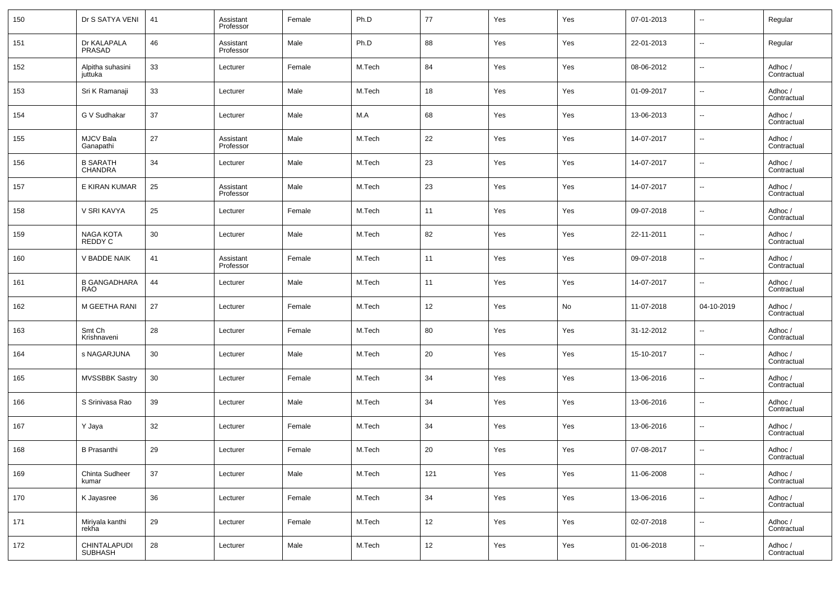| 150 | Dr S SATYA VENI                   | 41 | Assistant<br>Professor | Female | Ph.D   | 77  | Yes | Yes | 07-01-2013 | $\overline{\phantom{a}}$ | Regular                |
|-----|-----------------------------------|----|------------------------|--------|--------|-----|-----|-----|------------|--------------------------|------------------------|
| 151 | Dr KALAPALA<br><b>PRASAD</b>      | 46 | Assistant<br>Professor | Male   | Ph.D   | 88  | Yes | Yes | 22-01-2013 | $\overline{\phantom{a}}$ | Regular                |
| 152 | Alpitha suhasini<br>juttuka       | 33 | Lecturer               | Female | M.Tech | 84  | Yes | Yes | 08-06-2012 | $\overline{\phantom{a}}$ | Adhoc /<br>Contractual |
| 153 | Sri K Ramanaji                    | 33 | Lecturer               | Male   | M.Tech | 18  | Yes | Yes | 01-09-2017 | $\overline{\phantom{a}}$ | Adhoc /<br>Contractual |
| 154 | G V Sudhakar                      | 37 | Lecturer               | Male   | M.A    | 68  | Yes | Yes | 13-06-2013 | $\overline{\phantom{a}}$ | Adhoc /<br>Contractual |
| 155 | <b>MJCV Bala</b><br>Ganapathi     | 27 | Assistant<br>Professor | Male   | M.Tech | 22  | Yes | Yes | 14-07-2017 | $\overline{\phantom{a}}$ | Adhoc /<br>Contractual |
| 156 | <b>B SARATH</b><br><b>CHANDRA</b> | 34 | Lecturer               | Male   | M.Tech | 23  | Yes | Yes | 14-07-2017 | $\overline{\phantom{a}}$ | Adhoc /<br>Contractual |
| 157 | E KIRAN KUMAR                     | 25 | Assistant<br>Professor | Male   | M.Tech | 23  | Yes | Yes | 14-07-2017 | $\overline{\phantom{a}}$ | Adhoc /<br>Contractual |
| 158 | V SRI KAVYA                       | 25 | Lecturer               | Female | M.Tech | 11  | Yes | Yes | 09-07-2018 | $\overline{\phantom{a}}$ | Adhoc /<br>Contractual |
| 159 | NAGA KOTA<br>REDDY C              | 30 | Lecturer               | Male   | M.Tech | 82  | Yes | Yes | 22-11-2011 | $\overline{\phantom{a}}$ | Adhoc /<br>Contractual |
| 160 | V BADDE NAIK                      | 41 | Assistant<br>Professor | Female | M.Tech | 11  | Yes | Yes | 09-07-2018 | $\overline{\phantom{a}}$ | Adhoc /<br>Contractual |
| 161 | <b>B GANGADHARA</b><br><b>RAO</b> | 44 | Lecturer               | Male   | M.Tech | 11  | Yes | Yes | 14-07-2017 | $\overline{\phantom{a}}$ | Adhoc /<br>Contractual |
| 162 | M GEETHA RANI                     | 27 | Lecturer               | Female | M.Tech | 12  | Yes | No  | 11-07-2018 | 04-10-2019               | Adhoc /<br>Contractual |
| 163 | Smt Ch<br>Krishnaveni             | 28 | Lecturer               | Female | M.Tech | 80  | Yes | Yes | 31-12-2012 | $\overline{\phantom{a}}$ | Adhoc /<br>Contractual |
| 164 | s NAGARJUNA                       | 30 | Lecturer               | Male   | M.Tech | 20  | Yes | Yes | 15-10-2017 | $\overline{\phantom{a}}$ | Adhoc /<br>Contractual |
| 165 | <b>MVSSBBK Sastry</b>             | 30 | Lecturer               | Female | M.Tech | 34  | Yes | Yes | 13-06-2016 | $\overline{\phantom{a}}$ | Adhoc /<br>Contractual |
| 166 | S Srinivasa Rao                   | 39 | Lecturer               | Male   | M.Tech | 34  | Yes | Yes | 13-06-2016 | $\overline{\phantom{a}}$ | Adhoc /<br>Contractual |
| 167 | Y Jaya                            | 32 | Lecturer               | Female | M.Tech | 34  | Yes | Yes | 13-06-2016 | $\overline{\phantom{a}}$ | Adhoc /<br>Contractual |
| 168 | <b>B</b> Prasanthi                | 29 | Lecturer               | Female | M.Tech | 20  | Yes | Yes | 07-08-2017 | $\overline{\phantom{a}}$ | Adhoc /<br>Contractual |
| 169 | Chinta Sudheer<br>kumar           | 37 | Lecturer               | Male   | M.Tech | 121 | Yes | Yes | 11-06-2008 | $\overline{\phantom{a}}$ | Adhoc /<br>Contractual |
| 170 | K Jayasree                        | 36 | Lecturer               | Female | M.Tech | 34  | Yes | Yes | 13-06-2016 | $\overline{\phantom{a}}$ | Adhoc /<br>Contractual |
| 171 | Miriyala kanthi<br>rekha          | 29 | Lecturer               | Female | M.Tech | 12  | Yes | Yes | 02-07-2018 | $\overline{\phantom{a}}$ | Adhoc /<br>Contractual |
| 172 | CHINTALAPUDI<br>SUBHASH           | 28 | Lecturer               | Male   | M.Tech | 12  | Yes | Yes | 01-06-2018 | ۰.                       | Adhoc /<br>Contractual |